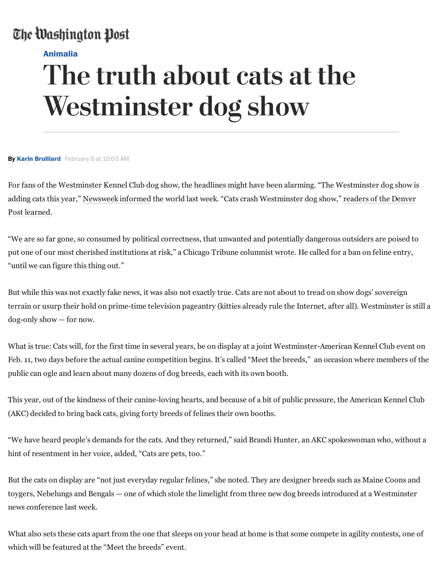# The Washington Post

### [Animalia](http://www.washingtonpost.com/news/animalia)

# The truth about cats at the Westminster dog show

By Karin [Brulliard](https://www.washingtonpost.com/people/karin-brulliard/) February 6 at 10:03 AM

For fans of the Westminster Kennel Club dog show, the headlines might have been alarming. "The Westminster dog show is adding cats this year," [Newsweek](http://www.newsweek.com/westminster-dog-show-adding-cats-550876) informed the world last week. "Cats crash [Westminster](http://www.denverpost.com/2017/02/01/cats-westminster-dog-show/) dog show," readers of the Denver Post learned.

"We are so far gone, so consumed by political correctness, that unwanted and potentially dangerous outsiders are poised to put one of our most cherished institutions at risk," a Chicago Tribune columnist [wrote](http://www.chicagotribune.com/news/opinion/huppke/ct-westminster-cats-refugees-huppke-20170201-story.html). He called for a ban on feline entry, "until we can figure this thing out."

But while this was not exactly fake news, it was also not exactly true. Cats are not about to tread on show dogs' sovereign terrain or usurp their hold on prime-time television pageantry (kitties already rule the Internet, after all). Westminster is still a  $dog$ -only show  $-$  for now.

What is true: Cats will, for the first time in several years, be on display at a joint Westminster-American Kennel Club event on Feb. 11, two days before the actual canine competition begins. It's called "Meet the breeds," an occasion where members of the public can ogle and learn about many dozens of dog breeds, each with its own booth.

This year, out of the kindness of their canine-loving hearts, and because of a bit of public pressure, the American Kennel Club (AKC) decided to bring back cats, giving forty breeds of felines their own booths.

"We have heard people's demands for the cats. And they returned," said Brandi Hunter, an AKC spokeswoman who, without a hint of resentment in her voice, added, "Cats are pets, too."

But the cats on display are "not just everyday regular felines," she noted. They are designer breeds such as Maine Coons and toygers, Nebelungs and Bengals — one of which stole the limelight from three new dog breeds introduced at a Westminster news conference last week.

What also sets these cats apart from the one that sleeps on your head at home is that some compete in agility contests, one of which will be featured at the "Meet the breeds" event.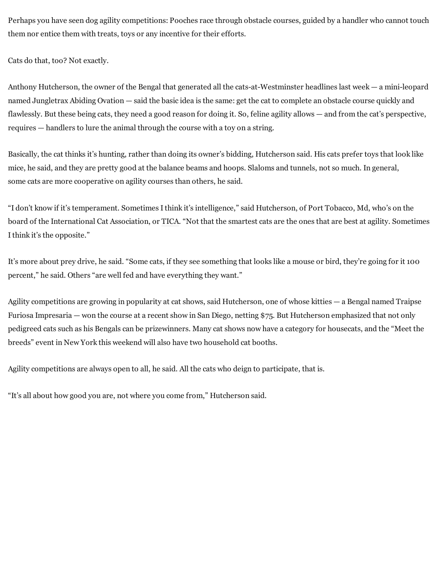Perhaps you have seen dog agility competitions: Pooches race through obstacle courses, guided by a handler who cannot touch them nor entice them with treats, toys or any incentive for their efforts.

Cats do that, too? Not exactly.

Anthony Hutcherson, the owner of the Bengal that generated all the cats-at-Westminster headlines last week  $-$  a mini-leopard named Jungletrax Abiding Ovation — said the basic idea is the same: get the cat to complete an obstacle course quickly and flawlessly. But these being cats, they need a good reason for doing it. So, feline agility allows — and from the cat's perspective, requires — handlers to lure the animal through the course with a toy on a string.

Basically, the cat thinks it's hunting, rather than doing its owner's bidding, Hutcherson said. His cats prefer toys that look like mice, he said, and they are pretty good at the balance beams and hoops. Slaloms and tunnels, not so much. In general, some cats are more cooperative on agility courses than others, he said.

"I don't know if it's temperament. Sometimes Ithink it's intelligence," said Hutcherson, of Port Tobacco, Md, who's on the board of the International Cat Association, or [TICA](http://www.tica.org/). "Not that the smartest cats are the ones that are best at agility. Sometimes Ithink it's the opposite."

It's more about prey drive, he said. "Some cats, if they see something that looks like a mouse or bird, they're going for it 100 percent," he said. Others "are well fed and have everything they want."

Agility competitions are growing in popularity at cat shows, said Hutcherson, one of whose kitties — a Bengal named Traipse Furiosa Impresaria — won the course at a recent show in San Diego, netting \$75. But Hutcherson emphasized that not only pedigreed cats such as his Bengals can be prizewinners. Many cat shows now have a category for housecats, and the "Meet the breeds" event in New York this weekend will also have two household cat booths.

Agility competitions are always open to all, he said. All the cats who deign to participate, that is.

"It's all about how good you are, not where you come from," Hutcherson said.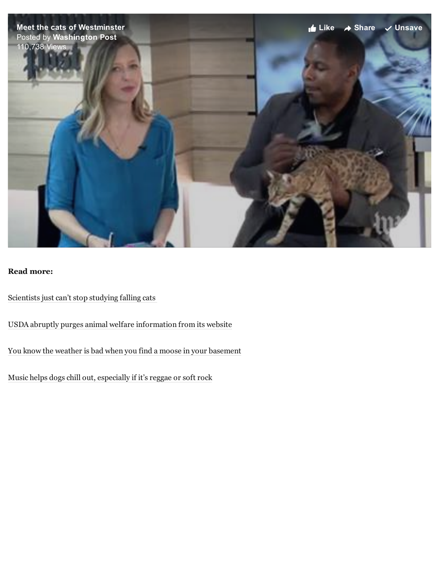

#### Read more:

[Scientists](https://www.washingtonpost.com/news/animalia/wp/2016/11/04/scientists-just-cant-stop-studying-falling-cats/?tid=a_inl&utm_term=.65de499fd2c9) just can't stop studying falling cats

USDA abruptly purges animal welfare [information](https://www.washingtonpost.com/news/animalia/wp/2017/02/03/the-usda-abruptly-removes-animal-welfare-information-from-its-website/?utm_term=.1cdcb4855f54) from its website

You know the weather is bad when you find a moose in your [basement](https://www.washingtonpost.com/news/animalia/wp/2017/01/30/you-know-the-weather-is-bad-when-you-find-a-moose-in-your-basement/?utm_term=.427eeabe1f5e)

Music helps dogs chill out, [especially](https://www.washingtonpost.com/news/animalia/wp/2017/01/27/music-helps-dogs-chill-out-especially-if-its-reggae-and-soft-rock/?utm_term=.6e8570539354) if it's reggae or soft rock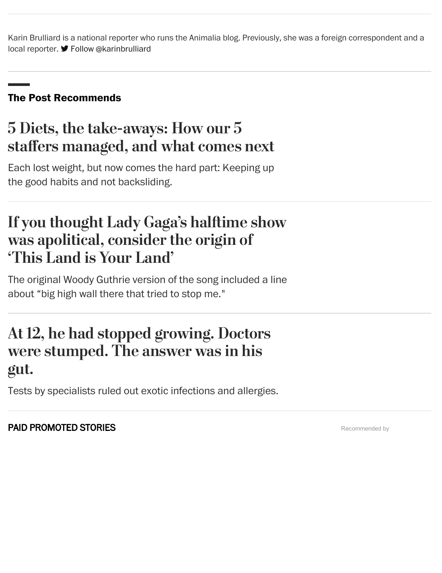Karin Brulliard is a national reporter who runs the Animalia blog. Previously, she was a foreign correspondent and a local reporter. **■** Follow [@karinbrulliard](https://twitter.com/intent/follow?screen_name=karinbrulliard)

## The Post Recommends

# 5 Diets, the [take-aways:](https://www.washingtonpost.com/lifestyle/food/5-diets-the-take-aways-how-our-5-staffers-managed-and-what-comes-next/2017/02/06/9d8b6baa-ea16-11e6-bf6f-301b6b443624_story.html?tid=hybrid_collaborative_1_na) How our 5 staffers managed, and what comes next

Each lost weight, but now comes the hard part: Keeping up the good habits and not backsliding.

## If you thought Lady Gaga's halftime show was [apolitical,](https://www.washingtonpost.com/news/morning-mix/wp/2017/02/06/if-you-thought-lady-gagas-halftime-show-was-apolitical-consider-the-origin-of-this-land-is-your-land/?tid=hybrid_collaborative_2_na) consider the origin of 'This Land is Your Land'

The original Woody Guthrie version of the song included a line about "big high wall there that tried to stop me."

## At 12, he had stopped growing. Doctors were [stumped.](https://www.washingtonpost.com/national/health-science/at-12-he-had-stopped-growing-the-reason-was-a-surprise/2017/02/06/3bebc9dc-cdea-11e6-b8a2-8c2a61b0436f_story.html?tid=hybrid_collaborative_3_na) The answer was in his gut.

Tests by specialists ruled out exotic infections and allergies.

**PAID PROMOTED STORIES PAID PROMOTED STORIES**